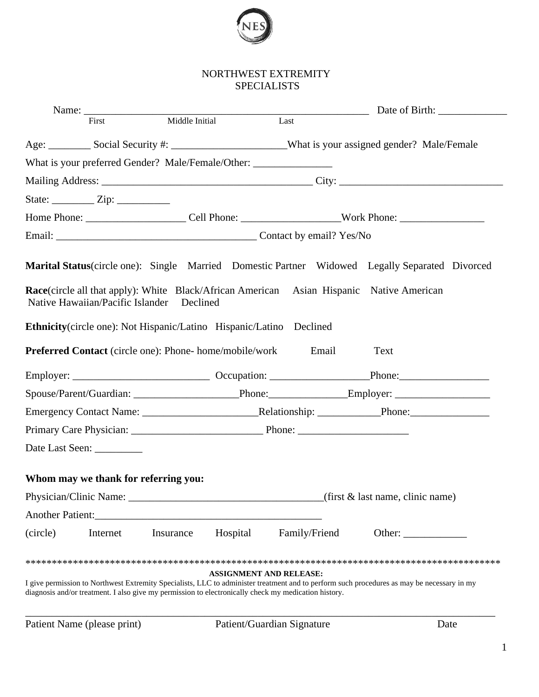

|                  | First                                | Middle Initial                                                                                       |                                |               |       |                                                                                                                                            |
|------------------|--------------------------------------|------------------------------------------------------------------------------------------------------|--------------------------------|---------------|-------|--------------------------------------------------------------------------------------------------------------------------------------------|
|                  |                                      |                                                                                                      |                                |               |       | Age: Social Security #: __________________________________What is your assigned gender? Male/Female                                        |
|                  |                                      | What is your preferred Gender? Male/Female/Other: _______________________________                    |                                |               |       |                                                                                                                                            |
|                  |                                      |                                                                                                      |                                |               |       |                                                                                                                                            |
|                  |                                      |                                                                                                      |                                |               |       |                                                                                                                                            |
|                  |                                      |                                                                                                      |                                |               |       |                                                                                                                                            |
|                  |                                      |                                                                                                      |                                |               |       |                                                                                                                                            |
|                  |                                      |                                                                                                      |                                |               |       | Marital Status(circle one): Single Married Domestic Partner Widowed Legally Separated Divorced                                             |
|                  | Native Hawaiian/Pacific Islander     | Declined                                                                                             |                                |               |       | Race(circle all that apply): White Black/African American Asian Hispanic Native American                                                   |
|                  |                                      | <b>Ethnicity</b> (circle one): Not Hispanic/Latino Hispanic/Latino Declined                          |                                |               |       |                                                                                                                                            |
|                  |                                      | <b>Preferred Contact</b> (circle one): Phone- home/mobile/work                                       |                                |               | Email | Text                                                                                                                                       |
|                  |                                      |                                                                                                      |                                |               |       |                                                                                                                                            |
|                  |                                      |                                                                                                      |                                |               |       |                                                                                                                                            |
|                  |                                      |                                                                                                      |                                |               |       |                                                                                                                                            |
|                  |                                      |                                                                                                      |                                |               |       |                                                                                                                                            |
|                  | Date Last Seen:                      |                                                                                                      |                                |               |       |                                                                                                                                            |
|                  | Whom may we thank for referring you: |                                                                                                      |                                |               |       |                                                                                                                                            |
|                  |                                      |                                                                                                      |                                |               |       | $(first \& last name, clinic name)$                                                                                                        |
| Another Patient: |                                      | <u> 1989 - Johann Barbara, martxa alemaniar arg</u>                                                  |                                |               |       |                                                                                                                                            |
| (circle)         | Internet                             | Insurance                                                                                            | Hospital                       | Family/Friend |       | Other: $\qquad \qquad$                                                                                                                     |
|                  |                                      | diagnosis and/or treatment. I also give my permission to electronically check my medication history. | <b>ASSIGNMENT AND RELEASE:</b> |               |       | I give permission to Northwest Extremity Specialists, LLC to administer treatment and to perform such procedures as may be necessary in my |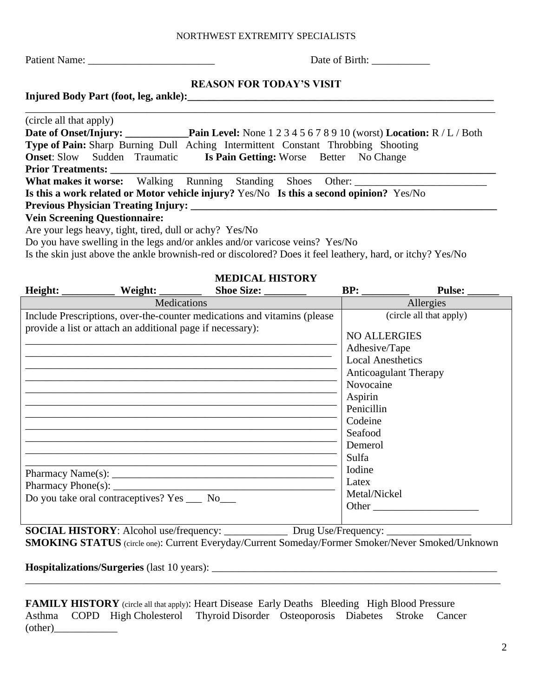Patient Name: \_\_\_\_\_\_\_\_\_\_\_\_\_\_\_\_\_\_\_\_\_\_\_\_ Date of Birth: \_\_\_\_\_\_\_\_\_\_\_

# **REASON FOR TODAY'S VISIT**

**Injured Body Part (foot, leg, ankle):\_\_\_\_\_\_\_\_\_\_\_\_\_\_\_\_\_\_\_\_\_\_\_\_\_\_\_\_\_\_\_\_\_\_\_\_\_\_\_\_\_\_\_\_\_\_\_\_\_\_\_\_\_\_\_\_\_\_**

| (circle all that apply)                                                                           |  |  |  |  |  |  |
|---------------------------------------------------------------------------------------------------|--|--|--|--|--|--|
| <b>Date of Onset/Injury:</b> Pain Level: None 1 2 3 4 5 6 7 8 9 10 (worst) Location: R / L / Both |  |  |  |  |  |  |
| <b>Type of Pain:</b> Sharp Burning Dull Aching Intermittent Constant Throbbing Shooting           |  |  |  |  |  |  |
| <b>Onset:</b> Slow Sudden Traumatic Is Pain Getting: Worse Better No Change                       |  |  |  |  |  |  |
| <b>Prior Treatments:</b>                                                                          |  |  |  |  |  |  |
| <b>What makes it worse:</b> Walking Running Standing Shoes Other:                                 |  |  |  |  |  |  |
| Is this a work related or Motor vehicle injury? Yes/No Is this a second opinion? Yes/No           |  |  |  |  |  |  |
|                                                                                                   |  |  |  |  |  |  |
| <b>Vein Screening Questionnaire:</b>                                                              |  |  |  |  |  |  |
| Are your legs heavy, tight, tired, dull or achy? Yes/No                                           |  |  |  |  |  |  |

Do you have swelling in the legs and/or ankles and/or varicose veins? Yes/No

Is the skin just above the ankle brownish-red or discolored? Does it feel leathery, hard, or itchy? Yes/No

# **MEDICAL HISTORY**

| Height:                                             |                                                            | Shoe Size: ________                                                      |                                                                                                                                                                                                                     | Pulse: __               |  |  |
|-----------------------------------------------------|------------------------------------------------------------|--------------------------------------------------------------------------|---------------------------------------------------------------------------------------------------------------------------------------------------------------------------------------------------------------------|-------------------------|--|--|
| Medications                                         |                                                            |                                                                          |                                                                                                                                                                                                                     | Allergies               |  |  |
|                                                     | provide a list or attach an additional page if necessary): | Include Prescriptions, over-the-counter medications and vitamins (please | <b>NO ALLERGIES</b><br>Adhesive/Tape<br><b>Local Anesthetics</b><br><b>Anticoagulant Therapy</b><br>Novocaine<br>Aspirin<br>Penicillin<br>Codeine<br>Seafood<br>Demerol<br>Sulfa<br>Iodine<br>Latex<br>Metal/Nickel | (circle all that apply) |  |  |
| Do you take oral contraceptives? Yes ______ No_____ |                                                            |                                                                          | Other                                                                                                                                                                                                               |                         |  |  |

**SOCIAL HISTORY**: Alcohol use/frequency: \_\_\_\_\_\_\_\_\_\_\_\_\_\_\_\_\_\_\_ Drug Use/Frequency:

**SMOKING STATUS** (circle one): Current Everyday/Current Someday/Former Smoker/Never Smoked/Unknown

**Hospitalizations/Surgeries** (last 10 years): \_\_\_\_\_\_\_\_\_\_\_\_\_\_\_\_\_\_\_\_\_\_\_\_\_\_\_\_\_\_\_\_\_\_\_\_\_\_\_\_\_\_\_\_\_\_\_\_\_\_\_\_\_\_\_\_\_\_\_\_\_\_\_\_\_\_\_\_\_\_\_\_\_\_\_\_\_\_\_\_\_\_\_\_\_\_\_\_\_\_

**FAMILY HISTORY** (circle all that apply): Heart Disease Early Deaths Bleeding High Blood Pressure Asthma COPD High Cholesterol Thyroid Disorder Osteoporosis Diabetes Stroke Cancer  $\text{(other)}$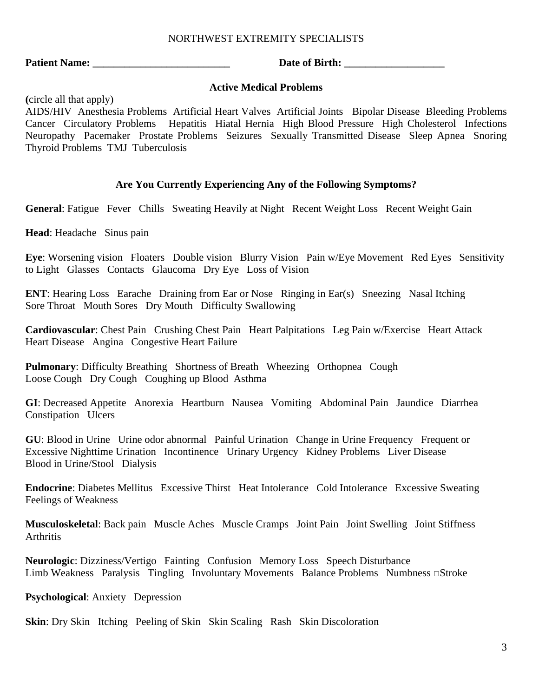**Patient Name: \_\_\_\_\_\_\_\_\_\_\_\_\_\_\_\_\_\_\_\_\_\_\_\_\_\_ Date of Birth: \_\_\_\_\_\_\_\_\_\_\_\_\_\_\_\_\_\_\_**

#### **Active Medical Problems**

**(**circle all that apply)

AIDS/HIV Anesthesia Problems Artificial Heart Valves Artificial Joints Bipolar Disease Bleeding Problems Cancer Circulatory Problems Hepatitis Hiatal Hernia High Blood Pressure High Cholesterol Infections Neuropathy Pacemaker Prostate Problems Seizures Sexually Transmitted Disease Sleep Apnea Snoring Thyroid Problems TMJ Tuberculosis

#### **Are You Currently Experiencing Any of the Following Symptoms?**

**General**: Fatigue Fever Chills Sweating Heavily at Night Recent Weight Loss Recent Weight Gain

**Head**: Headache Sinus pain

**Eye**: Worsening vision Floaters Double vision Blurry Vision Pain w/Eye Movement Red Eyes Sensitivity to Light Glasses Contacts Glaucoma Dry Eye Loss of Vision

**ENT**: Hearing Loss Earache Draining from Ear or Nose Ringing in Ear(s) Sneezing Nasal Itching Sore Throat Mouth Sores Dry Mouth Difficulty Swallowing

**Cardiovascular**: Chest Pain Crushing Chest Pain Heart Palpitations Leg Pain w/Exercise Heart Attack Heart Disease Angina Congestive Heart Failure

**Pulmonary**: Difficulty Breathing Shortness of Breath Wheezing Orthopnea Cough Loose Cough Dry Cough Coughing up Blood Asthma

**GI**: Decreased Appetite Anorexia Heartburn Nausea Vomiting Abdominal Pain Jaundice Diarrhea Constipation Ulcers

**GU**: Blood in Urine Urine odor abnormal Painful Urination Change in Urine Frequency Frequent or Excessive Nighttime Urination Incontinence Urinary Urgency Kidney Problems Liver Disease Blood in Urine/Stool Dialysis

**Endocrine**: Diabetes Mellitus Excessive Thirst Heat Intolerance Cold Intolerance Excessive Sweating Feelings of Weakness

**Musculoskeletal**: Back pain Muscle Aches Muscle Cramps Joint Pain Joint Swelling Joint Stiffness Arthritis

**Neurologic**: Dizziness/Vertigo Fainting Confusion Memory Loss Speech Disturbance Limb Weakness Paralysis Tingling Involuntary Movements Balance Problems Numbness □Stroke

**Psychological**: Anxiety Depression

**Skin**: Dry Skin Itching Peeling of Skin Skin Scaling Rash Skin Discoloration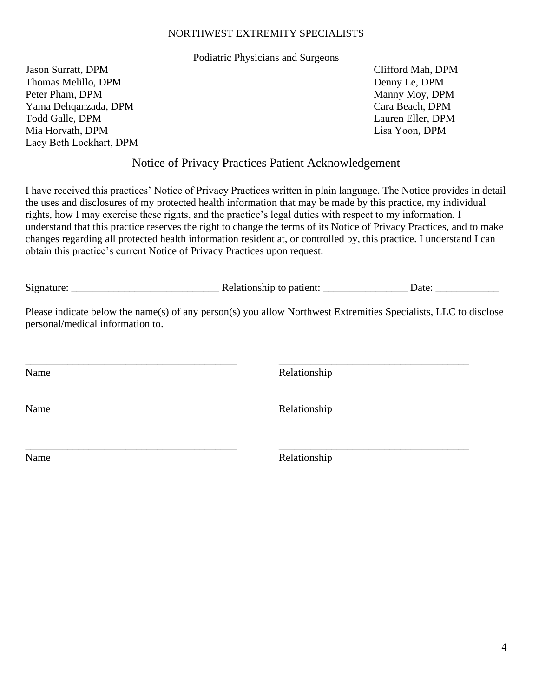#### Podiatric Physicians and Surgeons

Jason Surratt, DPM Thomas Melillo, DPM Peter Pham, DPM Yama Dehqanzada, DPM Todd Galle, DPM Mia Horvath, DPM Lacy Beth Lockhart, DPM Clifford Mah, DPM Denny Le, DPM Manny Moy, DPM Cara Beach, DPM Lauren Eller, DPM Lisa Yoon, DPM

### Notice of Privacy Practices Patient Acknowledgement

I have received this practices' Notice of Privacy Practices written in plain language. The Notice provides in detail the uses and disclosures of my protected health information that may be made by this practice, my individual rights, how I may exercise these rights, and the practice's legal duties with respect to my information. I understand that this practice reserves the right to change the terms of its Notice of Privacy Practices, and to make changes regarding all protected health information resident at, or controlled by, this practice. I understand I can obtain this practice's current Notice of Privacy Practices upon request.

| $\sim$<br>Signature | elationship to the<br>patient: | )ate |
|---------------------|--------------------------------|------|
|                     |                                |      |

Please indicate below the name(s) of any person(s) you allow Northwest Extremities Specialists, LLC to disclose personal/medical information to.

\_\_\_\_\_\_\_\_\_\_\_\_\_\_\_\_\_\_\_\_\_\_\_\_\_\_\_\_\_\_\_\_\_\_\_\_\_\_\_\_ \_\_\_\_\_\_\_\_\_\_\_\_\_\_\_\_\_\_\_\_\_\_\_\_\_\_\_\_\_\_\_\_\_\_\_\_ Name Relationship \_\_\_\_\_\_\_\_\_\_\_\_\_\_\_\_\_\_\_\_\_\_\_\_\_\_\_\_\_\_\_\_\_\_\_\_\_\_\_\_ \_\_\_\_\_\_\_\_\_\_\_\_\_\_\_\_\_\_\_\_\_\_\_\_\_\_\_\_\_\_\_\_\_\_\_\_ Name Relationship \_\_\_\_\_\_\_\_\_\_\_\_\_\_\_\_\_\_\_\_\_\_\_\_\_\_\_\_\_\_\_\_\_\_\_\_\_\_\_\_ \_\_\_\_\_\_\_\_\_\_\_\_\_\_\_\_\_\_\_\_\_\_\_\_\_\_\_\_\_\_\_\_\_\_\_\_ Name Relationship

4